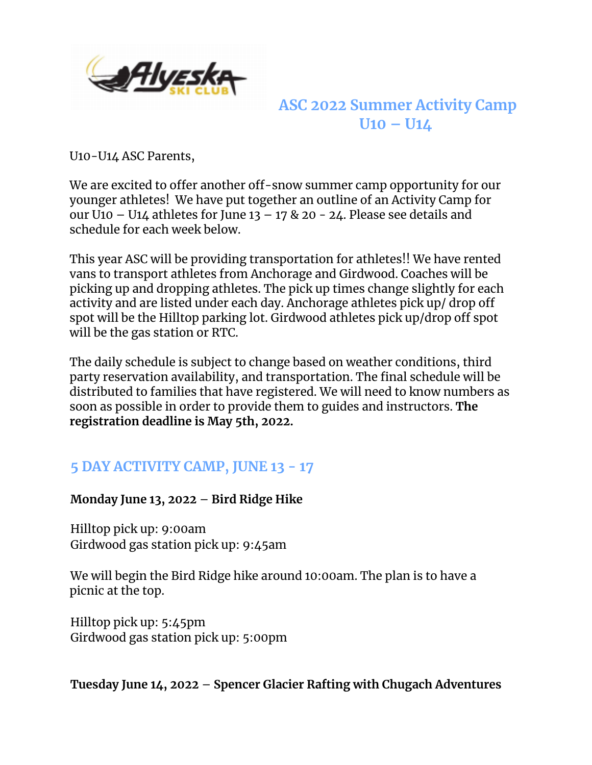

# **ASC 2022 Summer Activity Camp U10 – U14**

U10-U14 ASC Parents,

We are excited to offer another off-snow summer camp opportunity for our younger athletes! We have put together an outline of an Activity Camp for our U10 – U14 athletes for June 13 – 17 & 20 - 24. Please see details and schedule for each week below.

This year ASC will be providing transportation for athletes!! We have rented vans to transport athletes from Anchorage and Girdwood. Coaches will be picking up and dropping athletes. The pick up times change slightly for each activity and are listed under each day. Anchorage athletes pick up/ drop off spot will be the Hilltop parking lot. Girdwood athletes pick up/drop off spot will be the gas station or RTC.

The daily schedule is subject to change based on weather conditions, third party reservation availability, and transportation. The final schedule will be distributed to families that have registered. We will need to know numbers as soon as possible in order to provide them to guides and instructors. **The registration deadline is May 5th, 2022.**

# **5 DAY ACTIVITY CAMP, JUNE 13 - 17**

#### **Monday June 13, 2022** – **Bird Ridge Hike**

Hilltop pick up: 9:00am Girdwood gas station pick up: 9:45am

We will begin the Bird Ridge hike around 10:00am. The plan is to have a picnic at the top.

Hilltop pick up: 5:45pm Girdwood gas station pick up: 5:00pm

**Tuesday June 14, 2022** – **Spencer Glacier Rafting with Chugach Adventures**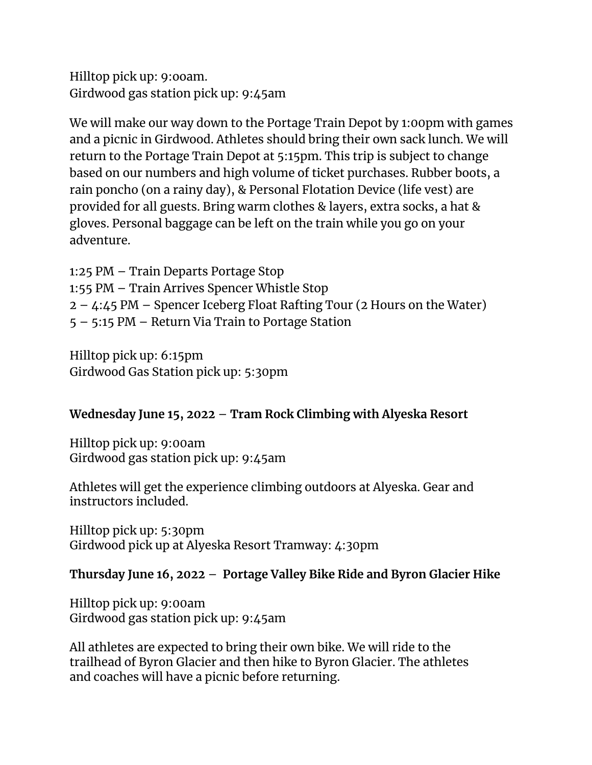Hilltop pick up: 9:ooam. Girdwood gas station pick up: 9:45am

We will make our way down to the Portage Train Depot by 1:00pm with games and a picnic in Girdwood. Athletes should bring their own sack lunch. We will return to the Portage Train Depot at 5:15pm. This trip is subject to change based on our numbers and high volume of ticket purchases. Rubber boots, a rain poncho (on a rainy day), & Personal Flotation Device (life vest) are provided for all guests. Bring warm clothes & layers, extra socks, a hat & gloves. Personal baggage can be left on the train while you go on your adventure.

1:25 PM – Train Departs Portage Stop 1:55 PM – Train Arrives Spencer Whistle Stop 2 – 4:45 PM – Spencer Iceberg Float Rafting Tour (2 Hours on the Water) 5 – 5:15 PM – Return Via Train to Portage Station

Hilltop pick up: 6:15pm Girdwood Gas Station pick up: 5:30pm

## **Wednesday June 15, 2022** – **Tram Rock Climbing with Alyeska Resort**

Hilltop pick up: 9:00am Girdwood gas station pick up: 9:45am

Athletes will get the experience climbing outdoors at Alyeska. Gear and instructors included.

Hilltop pick up: 5:30pm Girdwood pick up at Alyeska Resort Tramway: 4:30pm

## **Thursday June 16, 2022** – **Portage Valley Bike Ride and Byron Glacier Hike**

Hilltop pick up: 9:00am Girdwood gas station pick up: 9:45am

All athletes are expected to bring their own bike. We will ride to the trailhead of Byron Glacier and then hike to Byron Glacier. The athletes and coaches will have a picnic before returning.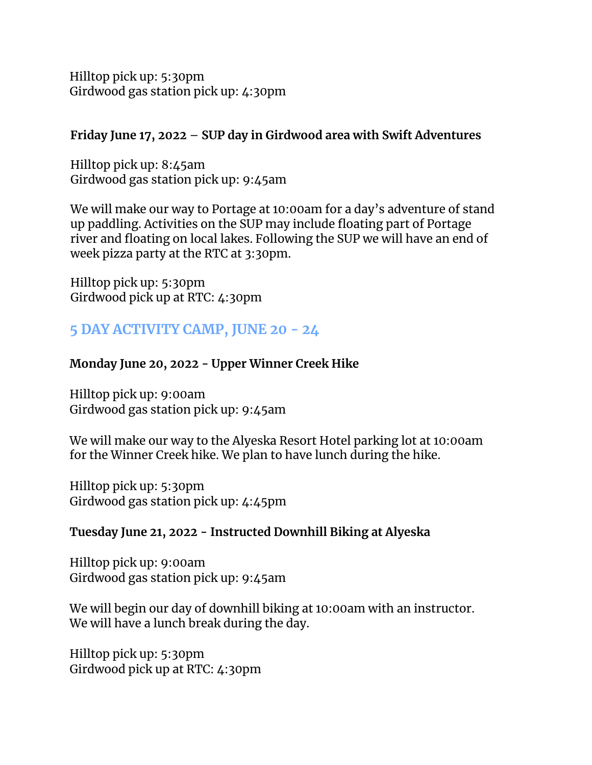Hilltop pick up: 5:30pm Girdwood gas station pick up: 4:30pm

#### **Friday June 17, 2022** – **SUP day in Girdwood area with Swift Adventures**

Hilltop pick up: 8:45am Girdwood gas station pick up: 9:45am

We will make our way to Portage at 10:00am for a day's adventure of stand up paddling. Activities on the SUP may include floating part of Portage river and floating on local lakes. Following the SUP we will have an end of week pizza party at the RTC at 3:30pm.

Hilltop pick up: 5:30pm Girdwood pick up at RTC: 4:30pm

# **5 DAY ACTIVITY CAMP, JUNE 20 - 24**

## **Monday June 20, 2022 - Upper Winner Creek Hike**

Hilltop pick up: 9:00am Girdwood gas station pick up: 9:45am

We will make our way to the Alyeska Resort Hotel parking lot at 10:00am for the Winner Creek hike. We plan to have lunch during the hike.

Hilltop pick up: 5:30pm Girdwood gas station pick up: 4:45pm

## **Tuesday June 21, 2022 - Instructed Downhill Biking at Alyeska**

Hilltop pick up: 9:00am Girdwood gas station pick up: 9:45am

We will begin our day of downhill biking at 10:00am with an instructor. We will have a lunch break during the day.

Hilltop pick up: 5:30pm Girdwood pick up at RTC: 4:30pm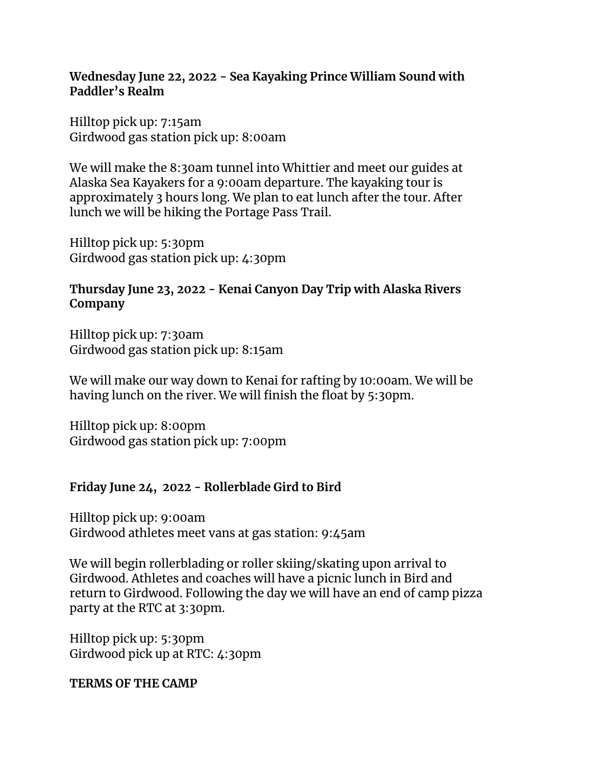#### **Wednesday June 22, 2022 - Sea Kayaking Prince William Sound with Paddler's Realm**

Hilltop pick up: 7:15am Girdwood gas station pick up: 8:00am

We will make the 8:30am tunnel into Whittier and meet our guides at Alaska Sea Kayakers for a 9:00am departure. The kayaking tour is approximately 3 hours long. We plan to eat lunch after the tour. After lunch we will be hiking the Portage Pass Trail.

Hilltop pick up: 5:30pm Girdwood gas station pick up: 4:30pm

#### **Thursday June 23, 2022 - Kenai Canyon Day Trip with Alaska Rivers Company**

Hilltop pick up: 7:30am Girdwood gas station pick up: 8:15am

We will make our way down to Kenai for rafting by 10:00am. We will be having lunch on the river. We will finish the float by 5:30pm.

Hilltop pick up: 8:00pm Girdwood gas station pick up: 7:00pm

## **Friday June 24, 2022 - Rollerblade Gird to Bird**

Hilltop pick up: 9:00am Girdwood athletes meet vans at gas station: 9:45am

We will begin rollerblading or roller skiing/skating upon arrival to Girdwood. Athletes and coaches will have a picnic lunch in Bird and return to Girdwood. Following the day we will have an end of camp pizza party at the RTC at 3:30pm.

Hilltop pick up: 5:30pm Girdwood pick up at RTC: 4:30pm

#### **TERMS OF THE CAMP**